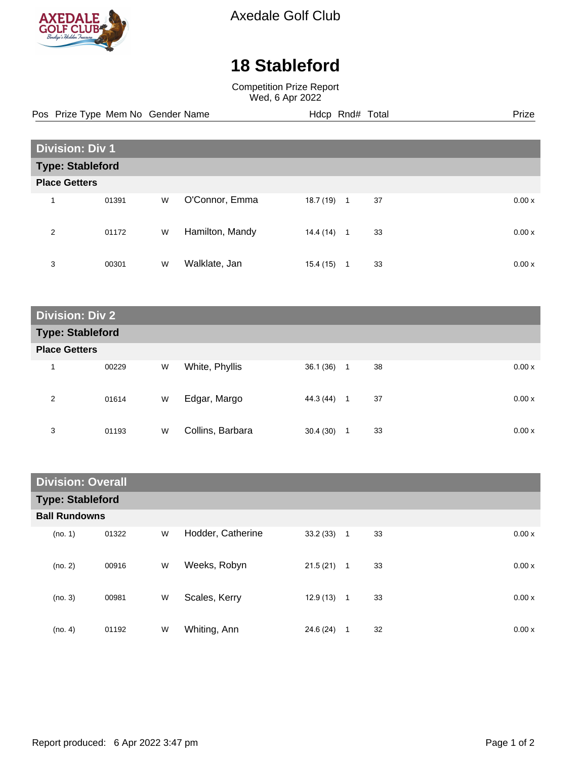

Axedale Golf Club

## **18 Stableford**

Competition Prize Report Wed, 6 Apr 2022

Pos Prize Type Mem No Gender Name **Hdcp Rnd# Total** Prize Prize

| <b>Division: Div 1</b>  |       |   |                 |           |                |    |  |        |
|-------------------------|-------|---|-----------------|-----------|----------------|----|--|--------|
| <b>Type: Stableford</b> |       |   |                 |           |                |    |  |        |
| <b>Place Getters</b>    |       |   |                 |           |                |    |  |        |
| 4                       | 01391 | W | O'Connor, Emma  | 18.7 (19) | $\overline{1}$ | 37 |  | 0.00x  |
| 2                       | 01172 | W | Hamilton, Mandy | 14.4 (14) | $\overline{1}$ | 33 |  | 0.00 x |
| 3                       | 00301 | W | Walklate, Jan   | 15.4(15)  | 1              | 33 |  | 0.00x  |

**Division: Div 2 Type: Stableford Place Getters** 1 00229 W White, Phyllis 36.1 (36) 1 38 0.00 x 2 01614 W Edgar, Margo 44.3 (44) 1 37 0.00 x 3 01193 W Collins, Barbara 30.4 (30) 1 33 0.00 x

| <b>Division: Overall</b> |       |   |                   |              |              |    |  |        |
|--------------------------|-------|---|-------------------|--------------|--------------|----|--|--------|
| <b>Type: Stableford</b>  |       |   |                   |              |              |    |  |        |
| <b>Ball Rundowns</b>     |       |   |                   |              |              |    |  |        |
| (no. 1)                  | 01322 | W | Hodder, Catherine | 33.2(33)     | $\mathbf{1}$ | 33 |  | 0.00x  |
| (no. 2)                  | 00916 | W | Weeks, Robyn      | 21.5(21)     | $\mathbf{1}$ | 33 |  | 0.00x  |
| (no. 3)                  | 00981 | W | Scales, Kerry     | $12.9(13)$ 1 |              | 33 |  | 0.00 x |
| (no. 4)                  | 01192 | W | Whiting, Ann      | 24.6 (24)    | 1            | 32 |  | 0.00 x |